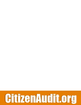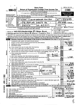|                                               |                               | É                                                                                                                                                                                                                                                                                                                   |                                     |  |  |                        |                                              |                                       |      |  |                                                                                         |                                                                                                                                                                                                                                |                  |                                       |  |                           |                                                                    |                    |            |
|-----------------------------------------------|-------------------------------|---------------------------------------------------------------------------------------------------------------------------------------------------------------------------------------------------------------------------------------------------------------------------------------------------------------------|-------------------------------------|--|--|------------------------|----------------------------------------------|---------------------------------------|------|--|-----------------------------------------------------------------------------------------|--------------------------------------------------------------------------------------------------------------------------------------------------------------------------------------------------------------------------------|------------------|---------------------------------------|--|---------------------------|--------------------------------------------------------------------|--------------------|------------|
|                                               |                               |                                                                                                                                                                                                                                                                                                                     |                                     |  |  |                        |                                              |                                       |      |  | <b>Short Form</b>                                                                       |                                                                                                                                                                                                                                |                  |                                       |  |                           | OMB No 1545-1150                                                   |                    |            |
|                                               |                               | Form $990 - EZ$                                                                                                                                                                                                                                                                                                     |                                     |  |  |                        |                                              |                                       |      |  |                                                                                         | <b>Return of Organization Exempt From Income Tax</b><br>Under section 501(c), 527, or 4947(a)(1) of the Internal Revenue Code (except black lung                                                                               |                  |                                       |  |                           | 2003                                                               |                    |            |
|                                               |                               |                                                                                                                                                                                                                                                                                                                     |                                     |  |  |                        |                                              | benefit trust or private foundation)  |      |  |                                                                                         | For organizations with gross receipts less than \$100,000 and total assets less                                                                                                                                                |                  |                                       |  |                           | <b>Open to Public</b>                                              |                    |            |
|                                               |                               | Department of the Treasury                                                                                                                                                                                                                                                                                          |                                     |  |  |                        |                                              | than \$250,000 at the end of the year |      |  |                                                                                         |                                                                                                                                                                                                                                |                  |                                       |  |                           | Inspection                                                         |                    |            |
|                                               |                               | Internal Revenue Service<br>A For the 2003 calendar year, or tax year beginning                                                                                                                                                                                                                                     |                                     |  |  |                        |                                              |                                       |      |  |                                                                                         | The organization may have to use a copy of this return to satisfy state reporting requirements.<br>, 2003, and ending                                                                                                          |                  |                                       |  |                           | . 20                                                               |                    |            |
| В                                             |                               | Check if applicable                                                                                                                                                                                                                                                                                                 | Please                              |  |  | C Name of organization |                                              |                                       |      |  |                                                                                         |                                                                                                                                                                                                                                |                  |                                       |  |                           | D Employer identification number                                   |                    |            |
|                                               |                               | Address change                                                                                                                                                                                                                                                                                                      | use IRS<br>label or                 |  |  |                        |                                              |                                       |      |  |                                                                                         | <u>INDIA CLUB OF GREATER DAYTON</u>                                                                                                                                                                                            |                  |                                       |  |                           | 31:1184659                                                         |                    |            |
|                                               | Name change<br>Initial return |                                                                                                                                                                                                                                                                                                                     | print or                            |  |  |                        |                                              |                                       |      |  |                                                                                         | Number and street (or P O box, if mail is not delivered to street address) Room/suite                                                                                                                                          |                  |                                       |  | E Telephone number        |                                                                    |                    |            |
|                                               | `ınal return                  |                                                                                                                                                                                                                                                                                                                     | type.<br>276 POPLAR GROVE DR<br>See |  |  |                        |                                              |                                       |      |  |                                                                                         |                                                                                                                                                                                                                                | $(937)$ 895 7120 |                                       |  |                           |                                                                    |                    |            |
|                                               |                               | Specific<br>City or town, state or country, and $ZIP + 4$<br>F Group Exemption<br>Amended return<br>Instruc-<br>DAYTON<br>0H<br>Number<br>Application pending<br>tions.<br>G Accounting method. <b>■ Cash</b> □ Accrual<br>• Section 501(c)(3) organizations and 4947(a)(1) nonexempt charitable trusts must attach |                                     |  |  |                        |                                              |                                       |      |  |                                                                                         |                                                                                                                                                                                                                                |                  |                                       |  |                           |                                                                    |                    |            |
|                                               |                               |                                                                                                                                                                                                                                                                                                                     |                                     |  |  |                        |                                              |                                       |      |  |                                                                                         |                                                                                                                                                                                                                                |                  |                                       |  |                           |                                                                    |                    |            |
|                                               |                               |                                                                                                                                                                                                                                                                                                                     |                                     |  |  |                        | a completed Schedule A (Form 990 or 990-EZ). |                                       |      |  |                                                                                         |                                                                                                                                                                                                                                |                  | Other (specify) $\blacktriangleright$ |  |                           |                                                                    |                    |            |
|                                               |                               |                                                                                                                                                                                                                                                                                                                     |                                     |  |  |                        |                                              |                                       |      |  |                                                                                         |                                                                                                                                                                                                                                |                  |                                       |  |                           | $H$ Check $\blacktriangleright$ $\blacksquare$ if the organization |                    |            |
|                                               |                               | Website: > MRITEZSAMACHAR @ YAHOO. ROM                                                                                                                                                                                                                                                                              |                                     |  |  |                        |                                              |                                       |      |  |                                                                                         |                                                                                                                                                                                                                                |                  |                                       |  | is not required to attach |                                                                    |                    |            |
|                                               |                               | Organization type (check only one) - $\Box$ 501(c) ( $\Box$ ) < (insert no) $\Box$ 4947(a)(1) or $\Box$ 527                                                                                                                                                                                                         |                                     |  |  |                        |                                              |                                       |      |  |                                                                                         |                                                                                                                                                                                                                                |                  |                                       |  |                           | Schedule B (Form 990, 990-EZ, or 990-PF)                           |                    |            |
|                                               |                               | K Check ► if the organization's gross receipts are normally not more than \$25,000 The organization need not file a return with the IRS; but if the<br>organization received a Form 990 Package in the mail, it should file a return without financial data. Some states require a complete return.                 |                                     |  |  |                        |                                              |                                       |      |  |                                                                                         |                                                                                                                                                                                                                                |                  |                                       |  |                           |                                                                    |                    |            |
|                                               |                               | L Add lines 5b, 6b, and 7b, to line 9 to determine gross receipts, if \$100,000 or more, file Form 990 instead of Form 990-EZ. . ▶ \$                                                                                                                                                                               |                                     |  |  |                        |                                              |                                       |      |  |                                                                                         |                                                                                                                                                                                                                                |                  |                                       |  |                           |                                                                    |                    |            |
|                                               | Part 1                        | Revenue, Expenses, and Changes in Net Assets or Fund Balances (See page 37 of the instructions.)                                                                                                                                                                                                                    |                                     |  |  |                        |                                              |                                       |      |  |                                                                                         |                                                                                                                                                                                                                                |                  |                                       |  |                           |                                                                    |                    |            |
|                                               | 1                             | Contributions, gifts, grants, and similar amounts received                                                                                                                                                                                                                                                          |                                     |  |  |                        |                                              |                                       |      |  |                                                                                         | $\mathbf{r}$ , $\mathbf{r}$ , $\mathbf{r}$ , $\mathbf{r}$ , $\mathbf{r}$ , $\mathbf{r}$ , $\mathbf{r}$                                                                                                                         |                  |                                       |  |                           |                                                                    |                    |            |
|                                               | 2                             | Program service revenue including government fees and contracts                                                                                                                                                                                                                                                     |                                     |  |  |                        |                                              |                                       |      |  |                                                                                         |                                                                                                                                                                                                                                |                  |                                       |  | 2                         | 26.                                                                | 033                |            |
|                                               | 3                             | Membership dues and assessments                                                                                                                                                                                                                                                                                     |                                     |  |  |                        |                                              |                                       |      |  |                                                                                         |                                                                                                                                                                                                                                |                  |                                       |  | 3                         |                                                                    | 185                |            |
|                                               | 4                             | Investment income                                                                                                                                                                                                                                                                                                   |                                     |  |  |                        |                                              |                                       |      |  |                                                                                         |                                                                                                                                                                                                                                |                  | N/ A                                  |  | 4                         |                                                                    |                    |            |
|                                               | 5a                            | Gross amount from sale of assets other than inventory                                                                                                                                                                                                                                                               |                                     |  |  |                        |                                              |                                       |      |  |                                                                                         | 5a<br>5b                                                                                                                                                                                                                       |                  | NIA                                   |  |                           |                                                                    |                    |            |
|                                               |                               | Less: cost or other basis and sales expenses<br>b<br>Gain or (loss) from sale of assets other than inventory (line 5a less line 5b) (attach schedule)<br>c                                                                                                                                                          |                                     |  |  |                        |                                              |                                       |      |  | $\mathbf{r}$ , $\mathbf{r}$ , $\mathbf{r}$ , $\mathbf{r}$ , $\mathbf{r}$ , $\mathbf{r}$ |                                                                                                                                                                                                                                |                  |                                       |  | 5c                        |                                                                    |                    |            |
|                                               | 6                             | Special events and activities (attach schedule). If any amount is from gaming, check here ▶                                                                                                                                                                                                                         |                                     |  |  |                        |                                              |                                       |      |  |                                                                                         |                                                                                                                                                                                                                                |                  |                                       |  |                           |                                                                    |                    |            |
| Revenue                                       |                               | a Gross revenue (not including \$ __________________ of contributions                                                                                                                                                                                                                                               |                                     |  |  |                        |                                              |                                       |      |  |                                                                                         |                                                                                                                                                                                                                                |                  |                                       |  |                           |                                                                    |                    |            |
|                                               |                               | reported on line 1) $\ldots$ $\ldots$ $\ldots$ $\ldots$ $\ldots$                                                                                                                                                                                                                                                    |                                     |  |  |                        |                                              |                                       |      |  |                                                                                         | 6а                                                                                                                                                                                                                             |                  |                                       |  |                           |                                                                    |                    |            |
|                                               |                               | <b>b</b> Less: direct expenses other than fundraising expenses                                                                                                                                                                                                                                                      |                                     |  |  |                        |                                              |                                       |      |  | $\mathbf{r}$ $\mathbf{r}$ $\mathbf{r}$                                                  | 6b                                                                                                                                                                                                                             |                  | 586                                   |  |                           |                                                                    |                    |            |
|                                               |                               | Net income or (loss) from special events and activities (line 6a less line 6b)<br>c                                                                                                                                                                                                                                 |                                     |  |  |                        |                                              |                                       |      |  |                                                                                         | 7а                                                                                                                                                                                                                             |                  |                                       |  | 6c                        |                                                                    |                    |            |
|                                               | 7а                            | Gross sales of inventory, less returns and allowances [1] [1]<br>Less: $cost$ of goods sold $\ldots$ .<br>b                                                                                                                                                                                                         |                                     |  |  |                        |                                              |                                       |      |  |                                                                                         | 7b                                                                                                                                                                                                                             |                  |                                       |  |                           |                                                                    |                    |            |
|                                               |                               | c Gross profit or (loss) from sales of inventory (line 7a less line 7b)                                                                                                                                                                                                                                             |                                     |  |  |                        |                                              |                                       |      |  |                                                                                         |                                                                                                                                                                                                                                |                  |                                       |  | 7с                        |                                                                    |                    |            |
|                                               |                               | Other revenue (describe $\blacktriangleright$                                                                                                                                                                                                                                                                       |                                     |  |  |                        |                                              |                                       |      |  |                                                                                         |                                                                                                                                                                                                                                |                  |                                       |  | 8                         |                                                                    | 500                |            |
|                                               | 9                             | Total revenue (add lines 1, 2, 3, 4, 5c, 6c, 7c, and 8)                                                                                                                                                                                                                                                             |                                     |  |  |                        |                                              |                                       |      |  |                                                                                         |                                                                                                                                                                                                                                |                  |                                       |  | 9                         |                                                                    |                    |            |
|                                               | 10                            | Grants and similar amounts paid (attach schedule)                                                                                                                                                                                                                                                                   |                                     |  |  |                        |                                              |                                       |      |  |                                                                                         | RECENED                                                                                                                                                                                                                        |                  |                                       |  | 10                        |                                                                    |                    |            |
|                                               | 11                            | Benefits paid to or for members $\ldots$ $\ldots$ $\ldots$ $\ldots$                                                                                                                                                                                                                                                 |                                     |  |  |                        |                                              |                                       |      |  |                                                                                         |                                                                                                                                                                                                                                |                  |                                       |  | 11<br>12                  |                                                                    |                    | <u>50 </u> |
| <b>Expenses</b>                               | 12                            | Salaries, other compensation, and employee benefits<br>Salaries, other compensation, and employee benefits $\left\  \cdot \mathbf{e}_i \right\ $<br>Professional fees and other payments to independent doubled of $\left\  \cdot \mathbf{e}_i \right\ $                                                            |                                     |  |  |                        |                                              |                                       |      |  |                                                                                         |                                                                                                                                                                                                                                |                  |                                       |  | 13                        |                                                                    | Б,                 | 3 B        |
|                                               | 13<br>14                      | Occupancy, rent, utilities, and maintenance                                                                                                                                                                                                                                                                         |                                     |  |  |                        |                                              |                                       | . 1. |  |                                                                                         |                                                                                                                                                                                                                                |                  |                                       |  | 14                        |                                                                    | <u>ح 2 ک</u>       |            |
|                                               | 15                            | Printing, publications, postage, and shipping                                                                                                                                                                                                                                                                       |                                     |  |  |                        |                                              |                                       |      |  | $\sim$ $\sim$                                                                           | OGDEN, UT                                                                                                                                                                                                                      |                  |                                       |  | 15                        |                                                                    |                    |            |
|                                               | 16                            |                                                                                                                                                                                                                                                                                                                     |                                     |  |  |                        |                                              |                                       |      |  |                                                                                         |                                                                                                                                                                                                                                |                  |                                       |  | 16                        |                                                                    |                    |            |
|                                               | 17                            | Total expenses (add lines 10 through 16)                                                                                                                                                                                                                                                                            |                                     |  |  |                        |                                              |                                       |      |  |                                                                                         | and the contract of the contract of the contract of the contract of the contract of the contract of the contract of the contract of the contract of the contract of the contract of the contract of the contract of the contra |                  |                                       |  | 17                        |                                                                    |                    |            |
|                                               | 18                            | Excess or (deficit) for the year (line 9 less line 17)                                                                                                                                                                                                                                                              |                                     |  |  |                        |                                              |                                       |      |  |                                                                                         |                                                                                                                                                                                                                                |                  |                                       |  | 18                        |                                                                    |                    |            |
| <b>Net Assets</b>                             | 19                            | Net assets or fund balances at beginning of year (from line 27, column (A)) (must agree with                                                                                                                                                                                                                        |                                     |  |  |                        |                                              |                                       |      |  |                                                                                         |                                                                                                                                                                                                                                |                  |                                       |  | 19                        |                                                                    |                    |            |
|                                               | 20                            | end-of-year figure reported on prior year's return)<br>Other changes in net assets or fund balances (attach explanation)                                                                                                                                                                                            |                                     |  |  |                        |                                              |                                       |      |  |                                                                                         |                                                                                                                                                                                                                                |                  |                                       |  | 20                        |                                                                    |                    |            |
|                                               | 21                            | Net assets or fund balances at end of year (combine lines 18 through 20)                                                                                                                                                                                                                                            |                                     |  |  |                        |                                              |                                       |      |  |                                                                                         |                                                                                                                                                                                                                                |                  |                                       |  | 21                        |                                                                    |                    |            |
|                                               | Part II                       | Balance Sheets-if Total assets on line 25, column (B) are \$250,000 or more, file Form 990 instead of Form 990-EZ.                                                                                                                                                                                                  |                                     |  |  |                        |                                              |                                       |      |  |                                                                                         |                                                                                                                                                                                                                                |                  |                                       |  |                           |                                                                    |                    |            |
| SCANNED<br>(See page 40 of the instructions.) |                               |                                                                                                                                                                                                                                                                                                                     |                                     |  |  |                        |                                              | (A) Beginning of year                 |      |  | (B) End of year                                                                         |                                                                                                                                                                                                                                |                  |                                       |  |                           |                                                                    |                    |            |
|                                               | 22                            |                                                                                                                                                                                                                                                                                                                     |                                     |  |  |                        |                                              |                                       |      |  |                                                                                         |                                                                                                                                                                                                                                |                  |                                       |  | <b>D</b> 29/22<br>23      |                                                                    |                    |            |
|                                               | 23.                           |                                                                                                                                                                                                                                                                                                                     |                                     |  |  |                        |                                              |                                       |      |  |                                                                                         |                                                                                                                                                                                                                                |                  |                                       |  | 24                        |                                                                    |                    |            |
|                                               | 24                            | <b>Total assets</b>                                                                                                                                                                                                                                                                                                 |                                     |  |  |                        |                                              |                                       |      |  |                                                                                         |                                                                                                                                                                                                                                |                  |                                       |  | 25                        |                                                                    |                    |            |
|                                               | 25<br>26                      |                                                                                                                                                                                                                                                                                                                     |                                     |  |  |                        |                                              |                                       |      |  |                                                                                         |                                                                                                                                                                                                                                |                  |                                       |  | 26                        |                                                                    |                    |            |
|                                               |                               | Net assets or fund balances (line 27 of column (B) must agree with line 21)                                                                                                                                                                                                                                         |                                     |  |  |                        |                                              |                                       |      |  |                                                                                         |                                                                                                                                                                                                                                |                  |                                       |  | 29 27                     |                                                                    |                    |            |
|                                               |                               | For Paperwork Reduction Act Notice, see the separate instructions.                                                                                                                                                                                                                                                  |                                     |  |  |                        |                                              |                                       |      |  |                                                                                         |                                                                                                                                                                                                                                | Cat No 10642l    |                                       |  |                           |                                                                    | Form 990-EZ (2003) |            |

 $\oint$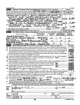| Form 990-EZ (2003) |                                                                                                                                                                                                                                                                                                                        |                                         |                                   |                                                  |            | Page 2                                             |
|--------------------|------------------------------------------------------------------------------------------------------------------------------------------------------------------------------------------------------------------------------------------------------------------------------------------------------------------------|-----------------------------------------|-----------------------------------|--------------------------------------------------|------------|----------------------------------------------------|
| Part III           | Statement of Program Service Accomplishments (See page 41 of the instructions.)                                                                                                                                                                                                                                        |                                         |                                   |                                                  |            | <b>Expenses</b>                                    |
|                    | What is the organization's primary exempt purpose? NOT FOR PROFIT/CHARITA BLE +                                                                                                                                                                                                                                        |                                         |                                   |                                                  |            | (Required for $501(c)(3)$<br>and (4) organizations |
|                    | Describe what was achieved in carrying out the organization's exempt purposes in a clear and Edicity manner,                                                                                                                                                                                                           |                                         |                                   |                                                  |            | and 4947(a)(1) trusts;<br>optional for others.)    |
|                    | describe the services provided, the number of persons benefited, or other relevant information for each program title.                                                                                                                                                                                                 |                                         |                                   |                                                  |            |                                                    |
|                    | 28 ACTIVELY PARTICIPATED IN DAYTON INTERNATIONAL FESTIVAL                                                                                                                                                                                                                                                              |                                         |                                   |                                                  |            |                                                    |
|                    | SHOWCASE INDIALS CULTURE, HERITAGE ARTS AND COLINARY                                                                                                                                                                                                                                                                   |                                         |                                   |                                                  |            |                                                    |
|                    | SKILLS AMONG 33                                                                                                                                                                                                                                                                                                        | OTHER COUNTRIES                         | (Grants \$                        | 9761                                             | 28a        |                                                    |
|                    | 29 CC.LEBRATED<br>INDIAN REPUBLIC DAY (JAN26) AND                                                                                                                                                                                                                                                                      |                                         |                                   |                                                  |            |                                                    |
|                    | $MIIA$ MOEPENDENCE PAY LAVE IS                                                                                                                                                                                                                                                                                         |                                         | EQU.CA-TÉD                        | <b>C.HILDRAY</b>                                 |            | 3,8თ                                               |
|                    | ILSA TO PERSONS<br><u>AARNIN</u>                                                                                                                                                                                                                                                                                       | OF IN PLAY ORIGING CONS \$              |                                   |                                                  | <b>29a</b> |                                                    |
|                    | 30 CELEBRATED "EESTIVAL OF LIGHTS"                                                                                                                                                                                                                                                                                     |                                         |                                   | <u>(WALI</u>                                     |            |                                                    |
|                    | COMPUTED CHLTURAL                                                                                                                                                                                                                                                                                                      | EVEN                                    | HIS                               | D.A.Y                                            |            | 7,085                                              |
|                    |                                                                                                                                                                                                                                                                                                                        |                                         | (Grants \$                        |                                                  | 30a        |                                                    |
|                    | 31 Other program services (attach schedule)                                                                                                                                                                                                                                                                            | $\sim$ $\sim$                           | (Grants \$                        |                                                  | 31a        |                                                    |
|                    | 32 Total program service expenses (add lines 28a through 31a)                                                                                                                                                                                                                                                          |                                         |                                   |                                                  | 32         | ZO. 2                                              |
| Part IV            | List of Officers, Directors, Trustees, and Key Employees (List each one even if not compensated. See page 41 of the/instructions                                                                                                                                                                                       |                                         |                                   |                                                  |            |                                                    |
|                    | (A) Name and address                                                                                                                                                                                                                                                                                                   | (B) Title and average<br>hours per week | (C) Compensation<br>(If not paid, | (D) Contributions to<br>employee benefit plans & |            | (E) Expense<br>account and                         |
|                    |                                                                                                                                                                                                                                                                                                                        | devoted to position                     | enter $-0-1$                      | deferred compensation                            |            | other allowances                                   |
| <b>BHAN</b>        | K RAGHAVAT                                                                                                                                                                                                                                                                                                             |                                         |                                   |                                                  |            |                                                    |
|                    | <b><i>DATron</i></b><br>NDIAN SPRINGS                                                                                                                                                                                                                                                                                  | <b>PRETIDENT</b>                        |                                   | O                                                |            |                                                    |
| Raj Singh          |                                                                                                                                                                                                                                                                                                                        |                                         |                                   |                                                  |            |                                                    |
|                    | VAYTON<br>POPLAR DR                                                                                                                                                                                                                                                                                                    | VICEPRESIDEM                            | <b>HU.</b>                        |                                                  |            |                                                    |
|                    | DEEPIKA REDPY                                                                                                                                                                                                                                                                                                          |                                         |                                   |                                                  |            |                                                    |
| 4589               | LALLOWEROOK DAYON USUSY                                                                                                                                                                                                                                                                                                | REASURER SHB.                           |                                   |                                                  |            | ⅋                                                  |
| <b>Part V</b>      | Other Information (Note the attachment requirement in General Instruction V, page 14.)                                                                                                                                                                                                                                 |                                         |                                   |                                                  |            | Yes<br>No                                          |
| 33                 | Did the organization engage in any activity not previously reported to the IRS? If "Yes," attach a detailed description of each activity                                                                                                                                                                               |                                         |                                   |                                                  |            |                                                    |
| 34                 | Were any changes made to the organizing or governing documents but not reported to the IRS? If "Yes," attach a conformed copy of the changes.                                                                                                                                                                          |                                         |                                   |                                                  |            |                                                    |
| 35                 | If the organization had income from business activities, such as those reported on lines 2, 6, and 7 (among others), but                                                                                                                                                                                               |                                         |                                   |                                                  |            |                                                    |
|                    | not reported on Form 990-T, attach a statement explaining your reason for not reporting the income on Form 990-T.                                                                                                                                                                                                      |                                         |                                   |                                                  |            |                                                    |
|                    | a Did the organization have unrelated business gross income of \$1,000 or more or 6033(e) notice, reporting, and proxy tax requirements?                                                                                                                                                                               |                                         |                                   |                                                  |            |                                                    |
|                    | <b>b</b> If "Yes," has it filed a tax return on Form 990-T for this year?                                                                                                                                                                                                                                              |                                         |                                   |                                                  |            |                                                    |
| 36                 | Was there a liquidation, dissolution, termination, or substantial contraction during the year? (If "Yes," attach a statement.)                                                                                                                                                                                         |                                         |                                   |                                                  |            |                                                    |
|                    | 37a Enter amount of political expenditures, direct or indirect, as described in the instructions.                                                                                                                                                                                                                      |                                         |                                   | 37a                                              |            |                                                    |
|                    | <b>b</b> Did the organization file Form 1120-POL for this year?                                                                                                                                                                                                                                                        |                                         |                                   |                                                  |            |                                                    |
|                    | 38a Did the organization borrow from, or make any loans to, any officer, director, trustee, or key employee or were any                                                                                                                                                                                                |                                         |                                   |                                                  |            |                                                    |
|                    | such loans made in a prior year and still unpaid at the start of the period covered by this return?.                                                                                                                                                                                                                   |                                         |                                   |                                                  |            |                                                    |
|                    | <b>b</b> If "Yes," attach the schedule specified in the line 38 instructions and enter the amount involved. [38b]                                                                                                                                                                                                      |                                         |                                   |                                                  |            |                                                    |
| 39                 | 501(c)(7) organizations. Enter: a initiation fees and capital contributions included on line 9                                                                                                                                                                                                                         |                                         |                                   | 39a                                              |            |                                                    |
|                    | <b>b</b> Gross receipts, included on line 9, for public use of club facilities                                                                                                                                                                                                                                         |                                         |                                   | 39b                                              |            |                                                    |
| 40a                | 501(c)(3) organizations. Enter: Amount of tax imposed on the organization during the year under:                                                                                                                                                                                                                       |                                         |                                   |                                                  |            |                                                    |
|                    | $\frac{1}{2}$ : section 4912<br>section 4911 $\blacktriangleright$                                                                                                                                                                                                                                                     |                                         | $\frac{1}{2}$ , section 4955      |                                                  |            |                                                    |
|                    | b 501(c)(3) and (4) organizations. Did the organization engage in any section 4958 excess benefit transaction during the                                                                                                                                                                                               |                                         |                                   |                                                  |            |                                                    |
|                    | year or did it become aware of an excess benefit transaction from a prior year? If "Yes," attach an explanation.                                                                                                                                                                                                       |                                         |                                   |                                                  |            |                                                    |
|                    | c Amount of tax imposed on organization managers or disqualified persons during the year under 4912, 4955, and 4958                                                                                                                                                                                                    |                                         |                                   |                                                  |            | 0                                                  |
| d                  | Enter: Amount of tax on line 40c, above, reimbursed by the organization                                                                                                                                                                                                                                                |                                         |                                   |                                                  |            | РJ                                                 |
| 41                 | List the states with which a copy of this return is filed. $\blacktriangleright$                                                                                                                                                                                                                                       |                                         | NONE                              |                                                  |            |                                                    |
| 42                 | The books are in care of $\triangleright$ DEEPIEA REDOY to $5$                                                                                                                                                                                                                                                         |                                         |                                   | Telephone no. I                                  |            |                                                    |
|                    | Located at > 10589 WILLONBROOK DR. DAY FON                                                                                                                                                                                                                                                                             |                                         |                                   | $ZIP + 4$                                        |            |                                                    |
| 43                 | Section 4947(a)(1) nonexempt charitable trusts filing Form 990-EZ in lieu of Form 1041-Check here                                                                                                                                                                                                                      |                                         |                                   |                                                  |            |                                                    |
|                    | and enter the amount of tax-exempt interest received or accrued during the tax year $\ldots$ .                                                                                                                                                                                                                         |                                         |                                   | <b>143</b>                                       |            |                                                    |
|                    | Under penalties of perjury, I declare that I have examined this return, including accompanying schedules and statements, and to the best of my knowledge<br>and belief, it is true, correct, and complete Declaration of preparer (other than officer) is based on all information of which preparer has any knowledge |                                         |                                   |                                                  |            |                                                    |
| <b>Please</b>      |                                                                                                                                                                                                                                                                                                                        |                                         |                                   |                                                  |            |                                                    |
| <b>Sign</b>        |                                                                                                                                                                                                                                                                                                                        |                                         |                                   |                                                  |            |                                                    |
| Here               | onature of officer                                                                                                                                                                                                                                                                                                     |                                         |                                   | Date                                             |            |                                                    |
|                    |                                                                                                                                                                                                                                                                                                                        |                                         |                                   |                                                  |            |                                                    |
|                    | Type or print name and title                                                                                                                                                                                                                                                                                           |                                         |                                   |                                                  |            |                                                    |
| Paid               | Preparer's                                                                                                                                                                                                                                                                                                             |                                         | Date                              | Check if                                         |            | Preparer's SSN or PTIN (See Gen Inst W)            |
|                    | signature                                                                                                                                                                                                                                                                                                              |                                         |                                   | seif-<br>employed ▶                              |            |                                                    |
| Preparer's         | Firm's name (or yours                                                                                                                                                                                                                                                                                                  |                                         |                                   | <b>EIN</b>                                       |            |                                                    |
| Use Only           | if self-employed),<br>address, and ZIP + 4                                                                                                                                                                                                                                                                             |                                         |                                   | Phone no $\blacktriangleright$ (                 |            |                                                    |
|                    |                                                                                                                                                                                                                                                                                                                        | ൿ                                       |                                   |                                                  |            | Form 990-EZ (2003)                                 |

 $- - -$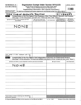SCHEDULE A (Form 990'or 990-EZ)

## Organization Exempt Under Section 501(c)(3)

(Except Private Foundation) and Section 501(e), 501(f). 501(k), 501(n), or Section 4947(a)(1) Nonexempt Charitable Trust

OMB No 1545-0047

2©03

Department of the Treasury<br>Internal Revenue Service

Supplementary Information—(See separate instructions.)

Internal Revenue Service by the above organizations and attached to their Form 990 or 990-EZ

| Name of the organization                                                                                                                                                                                             |   |                                                             |                  | Employer identification number                                            |                                                |
|----------------------------------------------------------------------------------------------------------------------------------------------------------------------------------------------------------------------|---|-------------------------------------------------------------|------------------|---------------------------------------------------------------------------|------------------------------------------------|
| INDIA CLUB OF GREATER DAYTON                                                                                                                                                                                         |   |                                                             |                  | 11184659                                                                  |                                                |
| Compensation of the Five Highest Paid Employees Other Than Officers, Directors, and Trustees<br>Part I<br>(See page 1 of the instructions. List each one If there are none, enter "None.")                           |   |                                                             |                  |                                                                           |                                                |
| (a) Name and address of each employee paid more<br>than \$50,000                                                                                                                                                     |   | (b) Title and average hours<br>per week devoted to position | (c) Compensation | (d) Contributions to<br>employee benefit plans &<br>deferred compensation | (e) Expense<br>account and other<br>allowances |
|                                                                                                                                                                                                                      |   |                                                             |                  |                                                                           |                                                |
| NONE                                                                                                                                                                                                                 |   |                                                             |                  |                                                                           |                                                |
|                                                                                                                                                                                                                      |   |                                                             |                  |                                                                           |                                                |
|                                                                                                                                                                                                                      |   |                                                             |                  |                                                                           |                                                |
|                                                                                                                                                                                                                      |   |                                                             |                  |                                                                           |                                                |
|                                                                                                                                                                                                                      |   |                                                             |                  |                                                                           |                                                |
|                                                                                                                                                                                                                      |   |                                                             |                  |                                                                           |                                                |
| Total number of other employees paid over<br>$$50,000$                                                                                                                                                               | ▶ |                                                             |                  |                                                                           |                                                |
| Compensation of the Five Highest Paid Independent Contractors for Professional Services<br>Part II<br>(See page 2 of the instructions List each one (whether individuals or firms) If there are none, enter "None.") |   |                                                             |                  |                                                                           |                                                |
| (a) Name and address of each independent contractor paid more than \$50,000                                                                                                                                          |   |                                                             |                  | (b) Type of service                                                       | (c) Compensation                               |
| NONE                                                                                                                                                                                                                 |   |                                                             |                  |                                                                           |                                                |
|                                                                                                                                                                                                                      |   |                                                             |                  |                                                                           |                                                |
|                                                                                                                                                                                                                      |   |                                                             |                  |                                                                           |                                                |
|                                                                                                                                                                                                                      |   |                                                             |                  |                                                                           |                                                |
|                                                                                                                                                                                                                      |   |                                                             |                  |                                                                           |                                                |
|                                                                                                                                                                                                                      |   |                                                             |                  |                                                                           |                                                |
| Total number of others receiving over \$50,000 for<br>professional services                                                                                                                                          |   |                                                             |                  |                                                                           |                                                |

For Paperwork Reduction Act Notice, see the Instructions for Form 990 and Form 990-EZ Cat No 11285F Schedule A (Form 990 or 990-EZ) 2003

 $\pmb{\iota}$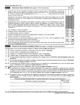|              | Schedule A (Form 990 or 990-EZ) 2003                                                                                                                                                                                                                                                                                                                                                                                                                                                                                                                                             |                |       | Page 2 |
|--------------|----------------------------------------------------------------------------------------------------------------------------------------------------------------------------------------------------------------------------------------------------------------------------------------------------------------------------------------------------------------------------------------------------------------------------------------------------------------------------------------------------------------------------------------------------------------------------------|----------------|-------|--------|
|              | Part III<br>Statements About Activities (See page 2 of the instructions.)                                                                                                                                                                                                                                                                                                                                                                                                                                                                                                        |                | Yes l | No.    |
|              | During the year, has the organization attempted to influence national, state, or local legislation, including any<br>attempt to influence public opinion on a legislative matter or referendum? If "Yes," enter the total expenses paid<br>or incurred in connection with the lobbying activities $\triangleright$ \$ ___________________ (Must equal amounts on line 38,<br>Part VI-A, or line i of Part VI-B)<br>and a series of the contract of the contract of<br>Organizations that made an election under section 501(h) by filing Form 5768 must complete Part VI-A Other |                |       |        |
|              | organizations checking "Yes" must complete Part VI-B AND attach a statement giving a detailed description of<br>the lobbying activities                                                                                                                                                                                                                                                                                                                                                                                                                                          |                |       |        |
| $\mathbf{2}$ | During the year, has the organization, either directly or indirectly, engaged in any of the following acts with any<br>substantial contributors, trustees, directors, officers, creators, key employees, or members of their families, or<br>with any taxable organization with which any such person is affiliated as an officer, director, trustee, majority<br>owner, or principal beneficiary? (If the answer to any question is "Yes," attach a detailed statement explaining the<br>transactions)                                                                          |                |       |        |
| a            |                                                                                                                                                                                                                                                                                                                                                                                                                                                                                                                                                                                  | 2a             |       |        |
| b            |                                                                                                                                                                                                                                                                                                                                                                                                                                                                                                                                                                                  | 2Ь             |       |        |
| с            |                                                                                                                                                                                                                                                                                                                                                                                                                                                                                                                                                                                  | 2 <sub>c</sub> |       |        |
| d            | Payment of compensation (or payment or reimbursement of expenses if more than \$1,000)?                                                                                                                                                                                                                                                                                                                                                                                                                                                                                          | 2d             |       | ✔      |
| е            |                                                                                                                                                                                                                                                                                                                                                                                                                                                                                                                                                                                  | 2e             |       | v      |
| За           | Do you make grants for scholarships, fellowships, student loans, etc ? (If "Yes," attach an explanation of how                                                                                                                                                                                                                                                                                                                                                                                                                                                                   | 3a             |       |        |
|              | <b>b</b> Do you have a section 403(b) annuity plan for your employees?                                                                                                                                                                                                                                                                                                                                                                                                                                                                                                           | 3 <sub>b</sub> |       |        |
|              | Did you maintain any separate account for participating donors where donors have the right to provide advice                                                                                                                                                                                                                                                                                                                                                                                                                                                                     | 4              |       |        |

## Part IV Reason for Non-Private Foundation Status (See pages 3 through 6 of the instructions.)

The organization is not a private foundation because it is (Please check only ONE applicable box)

- 5  $\Box$  A church, convention of churches, or association of churches. Section 170(b)(1)(A)(i)
- 6  $\Box$  A school Section 170(b)(1)(A)(ii) (Also complete Part V.)
- $\overline{I}$  $\Box$  A hospital or a cooperative hospital service organization Section 170(b)(1)(A)(iii)
- $\Box$  A Federal, state, or local government or governmental unit Section 170(b)(1)(A)(v) 8
- q  $\Box$  A medical research organization operated in conjunction with a hospital Section 170(b)(1)(A)(iii) Enter the hospital's name, city, uncours and the second second the second second second second second second second second second second second second second second second second second second second second second second second second second second second and state b \_\_\_\_\_\_\_\_\_\_\_\_\_\_\_\_\_\_\_\_\_\_\_\_\_\_\_\_\_\_\_\_\_\_\_\_\_\_\_\_\_\_\_\_\_\_\_\_\_\_\_\_\_\_\_\_\_\_\_\_\_\_\_\_\_\_\_\_\_\_\_\_\_\_\_\_\_\_\_\_\_\_\_\_\_\_\_\_\_\_\_\_\_\_\_\_\_\_\_\_\_\_\_\_\_\_\_\_\_\_\_\_\_\_\_\_\_\_\_\_\_\_\_\_ .\_
- 10 **E** An organization operated for the benefit of a college or university owned or operated by a governmental unit Section 170(b)(1)(A)(iv) (Also complete the Support Schedule in Part lV-A)
- 11a  $\Box$  An organization that normally receives a substantial part of its support from a governmental unit or from the general public. Section 170(b)(1)(A)(vi) (Also complete the Support Schedule in Part IV-A)
- 11b  $\Box$  *M* community trust. Section 170(b)(1)(A)(vi) (Also complete the **Support Schedule** in Part IV-A.)

12 M An organization that normally receives. (1) more than 331/<sub>3</sub>% of its support from contributions, membership fees, and gross receipts from activities related to its charitable, etc , functions—subject to certain exceptions, and (2) no more than 331/3% of its support from gross investment income and unrelated busmess taxable income (less section 511 tax) from busrnesses acqwred by the organization after June 30, 1975. See section 509(a)(2) (Also complete the Support Schedule in Part IV-A)

 $13$   $\Box$  An organization that is not controlled by any disqualified persons (other than foundation managers) and supports organizations described in (1) lines 5 through 12 above, or (2) section 501(c)(4), (5), or (6), if they meet the test of section 509(a)(2). (See section 509(a)(3))

| (a) Name(s) of supported organization(s) | (b) Line number<br>from above |
|------------------------------------------|-------------------------------|
|                                          |                               |
|                                          |                               |
|                                          |                               |

14 **E** An organization organized and operated to test for public safety Section 509(a)(4) (See page 6 of the instructions)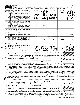| Schedule A (Form 990 or 990-EZ) 2003 |  |  |  |  |  |
|--------------------------------------|--|--|--|--|--|
|--------------------------------------|--|--|--|--|--|

 $\mu$ 

|             | Calendar year (or fiscal year beginning in) $\blacktriangleright$                                                                                                                                                                                                                                                                                                                                                                                                                                                                                                                                                                                                                                                                                                                                                                                                                                                                                                                          | (a) 2002                           | (b) 2001  | (c) 2000                                     | $(d)$ 1999                                       | (e) Total         |
|-------------|--------------------------------------------------------------------------------------------------------------------------------------------------------------------------------------------------------------------------------------------------------------------------------------------------------------------------------------------------------------------------------------------------------------------------------------------------------------------------------------------------------------------------------------------------------------------------------------------------------------------------------------------------------------------------------------------------------------------------------------------------------------------------------------------------------------------------------------------------------------------------------------------------------------------------------------------------------------------------------------------|------------------------------------|-----------|----------------------------------------------|--------------------------------------------------|-------------------|
| 15          | Gifts, grants, and contributions received (Do                                                                                                                                                                                                                                                                                                                                                                                                                                                                                                                                                                                                                                                                                                                                                                                                                                                                                                                                              |                                    | 39381     |                                              |                                                  |                   |
|             | not include unusual grants See line 28). .                                                                                                                                                                                                                                                                                                                                                                                                                                                                                                                                                                                                                                                                                                                                                                                                                                                                                                                                                 |                                    |           |                                              |                                                  |                   |
| 16          | Membership fees received $\ldots$ $\ldots$                                                                                                                                                                                                                                                                                                                                                                                                                                                                                                                                                                                                                                                                                                                                                                                                                                                                                                                                                 |                                    | 589       | 55<br>6                                      |                                                  |                   |
| 17          | Gross receipts from admissions, merchandise<br>sold or services performed, or furnishing of<br>facilities in any activity that is related to the<br>organization's charitable, etc. purpose                                                                                                                                                                                                                                                                                                                                                                                                                                                                                                                                                                                                                                                                                                                                                                                                | 14,860                             | 18,815    |                                              |                                                  |                   |
| 18          | Gross income from interest, dividends,<br>amounts received from payments on securities<br>loans (section 512(a)(5)), rents, royalties, and<br>unrelated business taxable income (less<br>section 511 taxes) from businesses acquired<br>by the organization after June 30, 1975 $\ldots$                                                                                                                                                                                                                                                                                                                                                                                                                                                                                                                                                                                                                                                                                                   |                                    |           |                                              |                                                  |                   |
| 19          | Net   income from unrelated business<br>activities not included in line 18                                                                                                                                                                                                                                                                                                                                                                                                                                                                                                                                                                                                                                                                                                                                                                                                                                                                                                                 |                                    |           |                                              |                                                  |                   |
| 20          | Tax revenues levied for the organization's<br>benefit and either paid to it or expended on<br>its behalf.                                                                                                                                                                                                                                                                                                                                                                                                                                                                                                                                                                                                                                                                                                                                                                                                                                                                                  |                                    |           |                                              |                                                  |                   |
| 21          | The value of services or facilities furnished to<br>the organization by a governmental unit<br>without charge Do not include the value of<br>services or facilities generally furnished to the<br>public without charge.                                                                                                                                                                                                                                                                                                                                                                                                                                                                                                                                                                                                                                                                                                                                                                   |                                    |           |                                              |                                                  |                   |
| 22          | Other income Attach a schedule Do not<br>include gain or (loss) from sale of capital assets                                                                                                                                                                                                                                                                                                                                                                                                                                                                                                                                                                                                                                                                                                                                                                                                                                                                                                |                                    |           |                                              |                                                  |                   |
| 23          | Total of lines 15 through 22.                                                                                                                                                                                                                                                                                                                                                                                                                                                                                                                                                                                                                                                                                                                                                                                                                                                                                                                                                              |                                    | .29<br>61 |                                              |                                                  |                   |
| 24          | Line 23 minus line 17. $\ldots$ $\ldots$ $\ldots$                                                                                                                                                                                                                                                                                                                                                                                                                                                                                                                                                                                                                                                                                                                                                                                                                                                                                                                                          |                                    | $U_2.976$ |                                              |                                                  |                   |
|             |                                                                                                                                                                                                                                                                                                                                                                                                                                                                                                                                                                                                                                                                                                                                                                                                                                                                                                                                                                                            |                                    |           |                                              |                                                  |                   |
| 25<br>26    | Enter 1% of line 23 <u>.</u><br>Organizations described on lines 10 or 11: a Enter 2% of amount in column (e), line 24. $\blacktriangleright$                                                                                                                                                                                                                                                                                                                                                                                                                                                                                                                                                                                                                                                                                                                                                                                                                                              | 9                                  |           |                                              | <b>26a</b>                                       |                   |
| b<br>c<br>d | Prepare a list for your records to show the name of and amount contributed by each person (other than a<br>governmental unit or publicly supported organization) whose total gifts for 1999 through 2002 exceeded the<br>amount shown in line 26a Do not file this list with your return. Enter the total of all these excess amounts ▶<br>Total support for section 509(a)(1) test Enter line 24, column (e)<br>Add Amounts from column (e) for lines<br>Public support (line 26c minus line 26d total)<br>Public support percentage (line 26e (numerator) divided by line 26c (denominator))                                                                                                                                                                                                                                                                                                                                                                                             |                                    |           | ♦، د د د د د د د د د د د د د د د د و و و و و | 26b<br>26с<br>ZIIIIM<br>26d<br><b>26e</b><br>26f |                   |
| 27          | Organizations described on line 12: a For amounts included in lines 15, 16, and 17 that were received from a "disqualified<br>person," prepare a list for your records to show the name of, and total amounts received in each year from, each "disqualified person"<br>Do not file this list with your return. Enter the sum of such amounts for each year<br>For any amount included in line 17 that was received from each person (other than "disqualified persons"), prepare a list for your records to<br>show the name of, and amount received for each year, that was more than the larger of (1) the amount on line 25 for the year or (2) \$5,000<br>(include in the list organizations described in lines 5 through 11, as well as individuals) Do not file this list with your return. After computing<br>the difference between the amount received and the larger amount described in (1) or (2), enter the sum of these differences (the excess<br>A amounts) for each year |                                    |           |                                              |                                                  | %                 |
|             | Add Amounts from column (e) for lines 15 39,382 16 15059                                                                                                                                                                                                                                                                                                                                                                                                                                                                                                                                                                                                                                                                                                                                                                                                                                                                                                                                   |                                    |           |                                              |                                                  | $_{27c}$ 101, 118 |
| d           |                                                                                                                                                                                                                                                                                                                                                                                                                                                                                                                                                                                                                                                                                                                                                                                                                                                                                                                                                                                            | and line 27b total _______________ |           |                                              | 27d                                              |                   |
| е           | Public support (line 27c total minus line 27d total).                                                                                                                                                                                                                                                                                                                                                                                                                                                                                                                                                                                                                                                                                                                                                                                                                                                                                                                                      |                                    |           |                                              | 27e                                              | 101.118           |
| f<br>g      | Total support for section 509(a)(2) test Enter amount from line 23, column (e). $\rightarrow$ 27f   101, 118<br>Public support percentage (line 27e (numerator) divided by line 27f (denominator)).                                                                                                                                                                                                                                                                                                                                                                                                                                                                                                                                                                                                                                                                                                                                                                                        |                                    |           |                                              | .<br>Milli<br>27g                                | <b>00%</b>        |

prepare a list for your records to show, for each year, the name of the contributor, the date and amount of the grant, and a brief description of the nature of the grant. Do not file this list with your return. Do not incl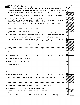|     | Schedule A (Form 990 or 990-EZ) 2003                                                                                                                                                                                                                                                                                                                                                                                                                                                       |                 |            | Page 4 |
|-----|--------------------------------------------------------------------------------------------------------------------------------------------------------------------------------------------------------------------------------------------------------------------------------------------------------------------------------------------------------------------------------------------------------------------------------------------------------------------------------------------|-----------------|------------|--------|
|     | Private School Questionnaire (See page 7 of the instructions.)<br>Part V<br>(To be completed ONLY by schools that checked the box on line 6 in Part IV)                                                                                                                                                                                                                                                                                                                                    |                 |            |        |
| 29  | Does the organization have a racially nondiscriminatory policy toward students by statement in its charter, bylaws,<br>other governing instrument, or in a resolution of its governing body?<br>$\mathbf{r}$ , $\mathbf{r}$ , $\mathbf{r}$ , $\mathbf{r}$ , $\mathbf{r}$ , $\mathbf{r}$ , $\mathbf{r}$ , $\mathbf{r}$ , $\mathbf{r}$                                                                                                                                                       | 29              | <b>Yes</b> | No.    |
| 30  | Does the organization include a statement of its racially nondiscriminatory policy toward students in all its<br>brochures, catalogues, and other written communications with the public dealing with student admissions,<br>programs, and scholarships?.<br>a construction of the construction of the construction of the construction of the construction of the construction of the construction of the construction of the construction of the construction of the construction of the | 30              |            |        |
| 31  | Has the organization publicized its racially nondiscriminatory policy through newspaper or broadcast media during<br>the period of solicitation for students, or during the registration period if it has no solicitation program, in a way<br>that makes the policy known to all parts of the general community it serves?                                                                                                                                                                | 31              |            |        |
|     | If "Yes," please describe, if "No," please explain (If you need more space, attach a separate statement)                                                                                                                                                                                                                                                                                                                                                                                   |                 |            |        |
|     |                                                                                                                                                                                                                                                                                                                                                                                                                                                                                            |                 |            |        |
| 32  | Does the organization maintain the following                                                                                                                                                                                                                                                                                                                                                                                                                                               |                 |            |        |
| a   | Records indicating the racial composition of the student body, faculty, and administrative staff?                                                                                                                                                                                                                                                                                                                                                                                          | 32a             |            |        |
| b   | Records documenting that scholarships and other financial assistance are awarded on a racially nondiscriminatory                                                                                                                                                                                                                                                                                                                                                                           | 32b             |            |        |
|     | c Copies of all catalogues, brochures, announcements, and other written communications to the public dealing                                                                                                                                                                                                                                                                                                                                                                               | 32 <sub>c</sub> |            |        |
|     | d Copies of all material used by the organization or on its behalf to solicit contributions?                                                                                                                                                                                                                                                                                                                                                                                               | 32d             |            |        |
|     | If you answered "No" to any of the above, please explain (If you need more space, attach a separate statement)                                                                                                                                                                                                                                                                                                                                                                             |                 |            |        |
|     |                                                                                                                                                                                                                                                                                                                                                                                                                                                                                            |                 |            |        |
| 33  | Does the organization discriminate by race in any way with respect to                                                                                                                                                                                                                                                                                                                                                                                                                      |                 |            |        |
| а   |                                                                                                                                                                                                                                                                                                                                                                                                                                                                                            | 33а             |            |        |
|     | Admissions policies?<br>$\mathbf{r}$ and $\mathbf{r}$ and $\mathbf{r}$ and $\mathbf{r}$                                                                                                                                                                                                                                                                                                                                                                                                    | 33 <sub>b</sub> |            |        |
|     | Employment of faculty or administrative staff?                                                                                                                                                                                                                                                                                                                                                                                                                                             | 33 <sub>c</sub> |            |        |
|     | d Scholarships or other financial assistance?                                                                                                                                                                                                                                                                                                                                                                                                                                              | 33d             |            |        |
| е   | Educational policies?                                                                                                                                                                                                                                                                                                                                                                                                                                                                      | 33 <sub>e</sub> |            |        |
| f   | Use of facilities?                                                                                                                                                                                                                                                                                                                                                                                                                                                                         | 33f             |            |        |
| g   | Athletic programs?.<br>$\mathbf{r}$ . The set of the set of the set of the set of the set of the set of the set of the set of the set of the set of the set of the set of the set of the set of the set of the set of the set of the set of the set of t                                                                                                                                                                                                                                   | 33g             |            |        |
|     | Other extracurricular activities?<br>$\frac{1}{2}$ , $\frac{1}{2}$ , $\frac{1}{2}$ , $\frac{1}{2}$ , $\frac{1}{2}$ , $\frac{1}{2}$ , $\frac{1}{2}$ , $\frac{1}{2}$ , $\frac{1}{2}$ , $\frac{1}{2}$ , $\frac{1}{2}$ , $\frac{1}{2}$                                                                                                                                                                                                                                                         | 33h             |            |        |
|     | If you answered "Yes" to any of the above, please explain (If you need more space, attach a separate statement)                                                                                                                                                                                                                                                                                                                                                                            |                 |            |        |
|     |                                                                                                                                                                                                                                                                                                                                                                                                                                                                                            |                 |            |        |
| 34а | Does the organization receive any financial aid or assistance from a governmental agency?                                                                                                                                                                                                                                                                                                                                                                                                  | 34a             |            |        |
|     | <b>b</b> Has the organization's right to such aid ever been revoked or suspended?<br>If you answered "Yes" to either 34a or b, please explain using an attached statement                                                                                                                                                                                                                                                                                                                  | 34 <sub>b</sub> |            |        |
| 35  | Does the organization certify that it has complied with the applicable requirements of sections 4 01 through 4 05<br>of Rev Proc 75-50, 1975-2 C B 587, covering racial nondiscrimination? If "No," attach an explanation                                                                                                                                                                                                                                                                  | 35              |            |        |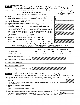|                                                    | Schedule A (Form 990 or 990-EZ) 2003                                                                                                                                                                                                                                                                                                                                                                                                                                                                                                                                                                                                                                                                                                                                                                                                                                                                                                                                                                                                               |                                              |                                                                                                   |                                                                                       |                                   | Page 5                                                      |
|----------------------------------------------------|----------------------------------------------------------------------------------------------------------------------------------------------------------------------------------------------------------------------------------------------------------------------------------------------------------------------------------------------------------------------------------------------------------------------------------------------------------------------------------------------------------------------------------------------------------------------------------------------------------------------------------------------------------------------------------------------------------------------------------------------------------------------------------------------------------------------------------------------------------------------------------------------------------------------------------------------------------------------------------------------------------------------------------------------------|----------------------------------------------|---------------------------------------------------------------------------------------------------|---------------------------------------------------------------------------------------|-----------------------------------|-------------------------------------------------------------|
|                                                    | L'obbying Expenditures by Electing Public Charities (See page 9 of the instructions.)<br>Part VI-A<br>(To be completed ONLY by an eliquble organization that filed Form 5768)                                                                                                                                                                                                                                                                                                                                                                                                                                                                                                                                                                                                                                                                                                                                                                                                                                                                      |                                              |                                                                                                   |                                                                                       |                                   |                                                             |
|                                                    | Check $\blacktriangleright$ a<br>if the organization belongs to an affiliated group                                                                                                                                                                                                                                                                                                                                                                                                                                                                                                                                                                                                                                                                                                                                                                                                                                                                                                                                                                |                                              | Check $\blacktriangleright$ b $\Box$                                                              | if you checked "a" and "limited control" provisions apply                             |                                   |                                                             |
|                                                    | <b>Limits on Lobbying Expenditures</b><br>(The term "expenditures" means amounts paid or incurred)                                                                                                                                                                                                                                                                                                                                                                                                                                                                                                                                                                                                                                                                                                                                                                                                                                                                                                                                                 |                                              |                                                                                                   |                                                                                       | (a)<br>Affiliated group<br>totals | (b)<br>To be completed<br>for ALL electing<br>organizations |
| 36<br>37<br>38<br>39<br>40<br>41<br>42<br>43<br>44 | Total lobbying expenditures to influence public opinion (grassroots lobbying)<br>Total lobbying expenditures to influence a legislative body (direct lobbying).<br>Total lobbying expenditures (add lines 36 and 37)<br>Other exempt purpose expenditures<br>Total exempt purpose expenditures (add lines 38 and 39).<br>Lobbying nontaxable amount Enter the amount from the following table-<br>If the amount on line 40 is-<br>Not over \$500,000 20% of the amount on line 40<br>Over \$500,000 but not over \$1,000,000 \$100,000 plus 15% of the excess over \$500,000<br>Over \$1,000,000 but not over \$1,500,000 . \$175,000 plus 10% of the excess over \$1,000,000<br>Over \$1,500,000 but not over \$17,000,000 . \$225,000 plus 5% of the excess over \$1,500,000<br>Over \$17,000,000 \$1,000,000<br>Grassroots nontaxable amount (enter 25% of line 41)<br>Subtract line 42 from line 36 Enter -0- if line 42 is more than line $36 \cdot \ldots \cdot$<br>Subtract line 41 from line 38 Enter -0- if line 41 is more than line 38. | The lobbying nontaxable amount is-           | $\mathbf{r}$ and $\mathbf{r}$ and $\mathbf{r}$ and $\mathbf{r}$ and $\mathbf{r}$ and $\mathbf{r}$ | 36<br>$\cdot$ $\cdot$ $\cdot$ $\cdot$<br>37<br>38<br>39<br>40<br>41<br>42<br>43<br>44 |                                   |                                                             |
|                                                    | Caution: If there is an amount on either line 43 or line 44, you must file Form 4720<br>(Some organizations that made a section 501(h) election do not have to complete all of the five columns below.<br>See the instructions for lines 45 through 50 on page 11 of the instructions.)                                                                                                                                                                                                                                                                                                                                                                                                                                                                                                                                                                                                                                                                                                                                                            | 4-Year Averaging Period Under Section 501(h) |                                                                                                   |                                                                                       |                                   |                                                             |
|                                                    |                                                                                                                                                                                                                                                                                                                                                                                                                                                                                                                                                                                                                                                                                                                                                                                                                                                                                                                                                                                                                                                    |                                              |                                                                                                   | Lobbying Expenditures During 4-Year Averaging Period                                  |                                   |                                                             |
|                                                    | Calendar year (or<br>fiscal year beginning in) $\blacktriangleright$                                                                                                                                                                                                                                                                                                                                                                                                                                                                                                                                                                                                                                                                                                                                                                                                                                                                                                                                                                               | (a)<br>2003                                  | (b)<br>2002                                                                                       | (c)<br>2001                                                                           | (d)<br>2000                       | (e)<br>Total                                                |
| 45                                                 | Lobbying nontaxable amount                                                                                                                                                                                                                                                                                                                                                                                                                                                                                                                                                                                                                                                                                                                                                                                                                                                                                                                                                                                                                         |                                              |                                                                                                   |                                                                                       |                                   |                                                             |
| 46                                                 | Lobbying ceiling amount (150% of line 45(e)).                                                                                                                                                                                                                                                                                                                                                                                                                                                                                                                                                                                                                                                                                                                                                                                                                                                                                                                                                                                                      |                                              |                                                                                                   |                                                                                       |                                   |                                                             |
| 47                                                 | Total lobbying expenditures                                                                                                                                                                                                                                                                                                                                                                                                                                                                                                                                                                                                                                                                                                                                                                                                                                                                                                                                                                                                                        |                                              |                                                                                                   |                                                                                       |                                   |                                                             |
| 48                                                 | Grassroots nontaxable amount                                                                                                                                                                                                                                                                                                                                                                                                                                                                                                                                                                                                                                                                                                                                                                                                                                                                                                                                                                                                                       |                                              |                                                                                                   |                                                                                       |                                   |                                                             |
| 49                                                 | Grassroots ceiling amount (150% of line 48(e))                                                                                                                                                                                                                                                                                                                                                                                                                                                                                                                                                                                                                                                                                                                                                                                                                                                                                                                                                                                                     |                                              |                                                                                                   |                                                                                       |                                   |                                                             |

50 Grassroots lobbying expenditures . . . Part VI-B Lobbying Activity by Nonelecting Public Charities

(For reporting only by organizations that did not complete Part VI-A) (See page 12 of the instructions.) During the year, did the organization attempt to influence national, state or local legislation, including any Yes No Amount attempt to influence public opinion on a legislative matter or referendum, through the use of' **a** Volunteers. **b** Paid staff or management (include compensation in expenses reported on lines c through h.) % c Media advertisements . . . . . . . . . . . . . . . d Mailings to members, legislators, or the public . WILLIAM CONTROLLER SCHOOL CONTROL CONTROLLER SCHOOL CONTROLLER SCHOOL CONTROLLER (FORM 990 or 990-EZ) 2003 Publications, or published or broadcast statements f Grants to other organizations for lobbying purposes . . . . . . . . g Direct contact with legislators, their staffs, government officials, or a legislative body . . Rallies, demonstrations, seminars. conventions, speeches, lectures, or any other means . h -'3'€D-QCDQOU' Total lobbying expenditures (Add lines c through h.) ( . . , I otal lobbying expenditures (Add lines c through **h**.) (i.e., e.e., e.e., e.e., e.e., e.e., e.e., e.e., e.e., e<br>If "Yes" to any of the above, also attach a statement giving a detailed description of the lobbying act g a detailed description of the lobbying activities